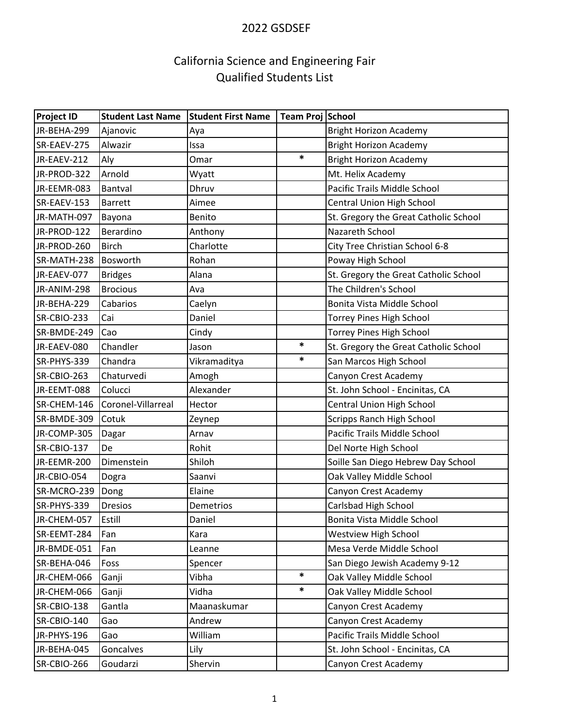## 2022 GSDSEF

# California Science and Engineering Fair Qualified Students List

| <b>Project ID</b> | <b>Student Last Name</b> | <b>Student First Name</b> | Team Proj School |                                       |
|-------------------|--------------------------|---------------------------|------------------|---------------------------------------|
| JR-BEHA-299       | Ajanovic                 | Aya                       |                  | <b>Bright Horizon Academy</b>         |
| SR-EAEV-275       | Alwazir                  | Issa                      |                  | <b>Bright Horizon Academy</b>         |
| JR-EAEV-212       | Aly                      | Omar                      | $\ast$           | <b>Bright Horizon Academy</b>         |
| JR-PROD-322       | Arnold                   | Wyatt                     |                  | Mt. Helix Academy                     |
| JR-EEMR-083       | Bantval                  | Dhruv                     |                  | Pacific Trails Middle School          |
| SR-EAEV-153       | <b>Barrett</b>           | Aimee                     |                  | Central Union High School             |
| JR-MATH-097       | Bayona                   | Benito                    |                  | St. Gregory the Great Catholic School |
| JR-PROD-122       | Berardino                | Anthony                   |                  | Nazareth School                       |
| JR-PROD-260       | <b>Birch</b>             | Charlotte                 |                  | City Tree Christian School 6-8        |
| SR-MATH-238       | Bosworth                 | Rohan                     |                  | Poway High School                     |
| JR-EAEV-077       | <b>Bridges</b>           | Alana                     |                  | St. Gregory the Great Catholic School |
| JR-ANIM-298       | <b>Brocious</b>          | Ava                       |                  | The Children's School                 |
| JR-BEHA-229       | Cabarios                 | Caelyn                    |                  | Bonita Vista Middle School            |
| SR-CBIO-233       | Cai                      | Daniel                    |                  | <b>Torrey Pines High School</b>       |
| SR-BMDE-249       | Cao                      | Cindy                     |                  | <b>Torrey Pines High School</b>       |
| JR-EAEV-080       | Chandler                 | Jason                     | *                | St. Gregory the Great Catholic School |
| SR-PHYS-339       | Chandra                  | Vikramaditya              | *                | San Marcos High School                |
| SR-CBIO-263       | Chaturvedi               | Amogh                     |                  | Canyon Crest Academy                  |
| JR-EEMT-088       | Colucci                  | Alexander                 |                  | St. John School - Encinitas, CA       |
| SR-CHEM-146       | Coronel-Villarreal       | Hector                    |                  | Central Union High School             |
| SR-BMDE-309       | Cotuk                    | Zeynep                    |                  | Scripps Ranch High School             |
| JR-COMP-305       | Dagar                    | Arnav                     |                  | Pacific Trails Middle School          |
| SR-CBIO-137       | De                       | Rohit                     |                  | Del Norte High School                 |
| JR-EEMR-200       | Dimenstein               | Shiloh                    |                  | Soille San Diego Hebrew Day School    |
| JR-CBIO-054       | Dogra                    | Saanvi                    |                  | Oak Valley Middle School              |
| SR-MCRO-239       | Dong                     | Elaine                    |                  | Canyon Crest Academy                  |
| SR-PHYS-339       | <b>Dresios</b>           | Demetrios                 |                  | Carlsbad High School                  |
| JR-CHEM-057       | Estill                   | Daniel                    |                  | Bonita Vista Middle School            |
| SR-EEMT-284       | Fan                      | Kara                      |                  | <b>Westview High School</b>           |
| JR-BMDE-051       | Fan                      | Leanne                    |                  | Mesa Verde Middle School              |
| SR-BEHA-046       | Foss                     | Spencer                   |                  | San Diego Jewish Academy 9-12         |
| JR-CHEM-066       | Ganji                    | Vibha                     | *                | Oak Valley Middle School              |
| JR-CHEM-066       | Ganji                    | Vidha                     | *                | Oak Valley Middle School              |
| SR-CBIO-138       | Gantla                   | Maanaskumar               |                  | Canyon Crest Academy                  |
| SR-CBIO-140       | Gao                      | Andrew                    |                  | Canyon Crest Academy                  |
| JR-PHYS-196       | Gao                      | William                   |                  | Pacific Trails Middle School          |
| JR-BEHA-045       | Goncalves                | Lily                      |                  | St. John School - Encinitas, CA       |
| SR-CBIO-266       | Goudarzi                 | Shervin                   |                  | Canyon Crest Academy                  |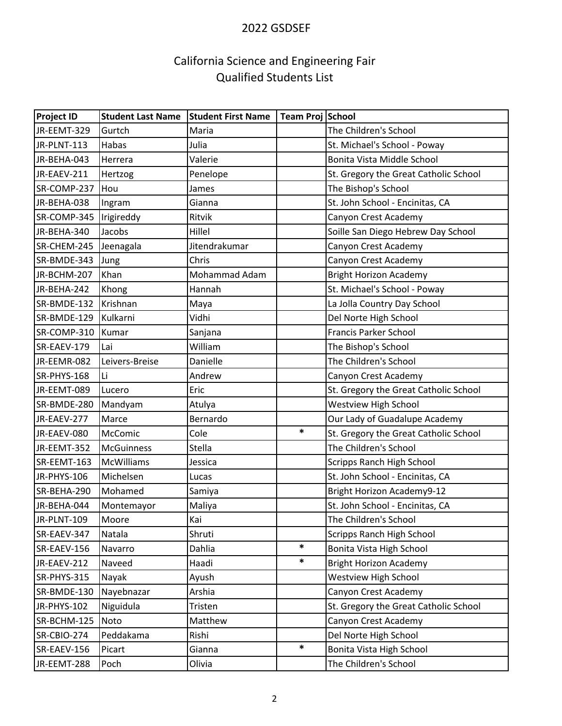## 2022 GSDSEF

# California Science and Engineering Fair Qualified Students List

| <b>Project ID</b> | <b>Student Last Name</b> | <b>Student First Name</b> | Team Proj School |                                       |
|-------------------|--------------------------|---------------------------|------------------|---------------------------------------|
| JR-EEMT-329       | Gurtch                   | Maria                     |                  | The Children's School                 |
| JR-PLNT-113       | Habas                    | Julia                     |                  | St. Michael's School - Poway          |
| JR-BEHA-043       | Herrera                  | Valerie                   |                  | Bonita Vista Middle School            |
| JR-EAEV-211       | Hertzog                  | Penelope                  |                  | St. Gregory the Great Catholic School |
| SR-COMP-237       | Hou                      | James                     |                  | The Bishop's School                   |
| JR-BEHA-038       | Ingram                   | Gianna                    |                  | St. John School - Encinitas, CA       |
| SR-COMP-345       | Irigireddy               | Ritvik                    |                  | Canyon Crest Academy                  |
| JR-BEHA-340       | Jacobs                   | Hillel                    |                  | Soille San Diego Hebrew Day School    |
| SR-CHEM-245       | Jeenagala                | Jitendrakumar             |                  | Canyon Crest Academy                  |
| SR-BMDE-343       | Jung                     | Chris                     |                  | Canyon Crest Academy                  |
| JR-BCHM-207       | Khan                     | Mohammad Adam             |                  | <b>Bright Horizon Academy</b>         |
| JR-BEHA-242       | Khong                    | Hannah                    |                  | St. Michael's School - Poway          |
| SR-BMDE-132       | Krishnan                 | Maya                      |                  | La Jolla Country Day School           |
| SR-BMDE-129       | Kulkarni                 | Vidhi                     |                  | Del Norte High School                 |
| SR-COMP-310       | Kumar                    | Sanjana                   |                  | Francis Parker School                 |
| SR-EAEV-179       | Lai                      | William                   |                  | The Bishop's School                   |
| JR-EEMR-082       | Leivers-Breise           | Danielle                  |                  | The Children's School                 |
| SR-PHYS-168       | Li                       | Andrew                    |                  | Canyon Crest Academy                  |
| JR-EEMT-089       | Lucero                   | Eric                      |                  | St. Gregory the Great Catholic School |
| SR-BMDE-280       | Mandyam                  | Atulya                    |                  | <b>Westview High School</b>           |
| JR-EAEV-277       | Marce                    | Bernardo                  |                  | Our Lady of Guadalupe Academy         |
| JR-EAEV-080       | McComic                  | Cole                      | *                | St. Gregory the Great Catholic School |
| JR-EEMT-352       | <b>McGuinness</b>        | Stella                    |                  | The Children's School                 |
| SR-EEMT-163       | <b>McWilliams</b>        | Jessica                   |                  | Scripps Ranch High School             |
| JR-PHYS-106       | Michelsen                | Lucas                     |                  | St. John School - Encinitas, CA       |
| SR-BEHA-290       | Mohamed                  | Samiya                    |                  | <b>Bright Horizon Academy9-12</b>     |
| JR-BEHA-044       | Montemayor               | Maliya                    |                  | St. John School - Encinitas, CA       |
| JR-PLNT-109       | Moore                    | Kai                       |                  | The Children's School                 |
| SR-EAEV-347       | Natala                   | Shruti                    |                  | Scripps Ranch High School             |
| SR-EAEV-156       | Navarro                  | Dahlia                    | *                | Bonita Vista High School              |
| JR-EAEV-212       | Naveed                   | Haadi                     | *                | <b>Bright Horizon Academy</b>         |
| SR-PHYS-315       | Nayak                    | Ayush                     |                  | <b>Westview High School</b>           |
| SR-BMDE-130       | Nayebnazar               | Arshia                    |                  | Canyon Crest Academy                  |
| JR-PHYS-102       | Niguidula                | Tristen                   |                  | St. Gregory the Great Catholic School |
| SR-BCHM-125       | Noto                     | Matthew                   |                  | Canyon Crest Academy                  |
| SR-CBIO-274       | Peddakama                | Rishi                     |                  | Del Norte High School                 |
| SR-EAEV-156       | Picart                   | Gianna                    | *                | Bonita Vista High School              |
| JR-EEMT-288       | Poch                     | Olivia                    |                  | The Children's School                 |